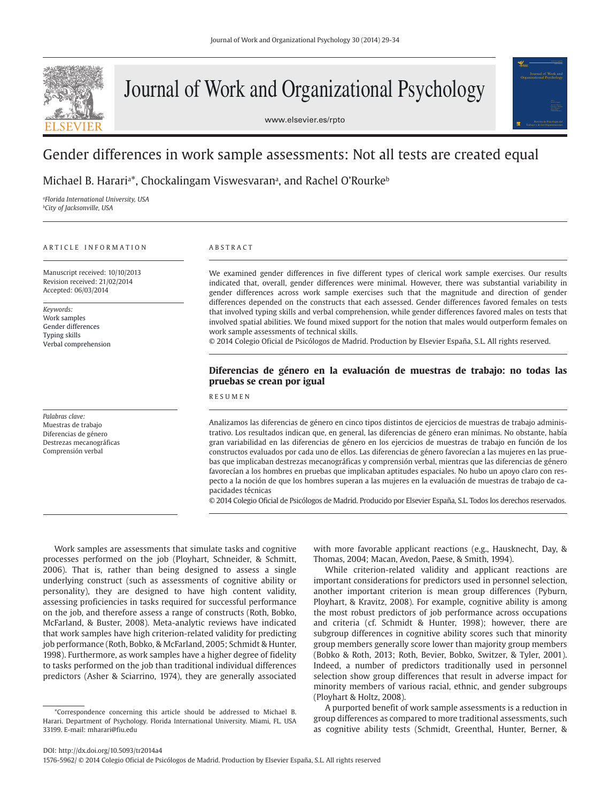

# Journal of Work and Organizational Psychology

www.elsevier.es/rpto



# Gender differences in work sample assessments: Not all tests are created equal

Michael B. Harariª\*, Chockalingam Viswesvaranª, and Rachel O'Rourke<sup>ь</sup>

*a Florida International University, USA b City of Jacksonville, USA*

#### ARTICLE INFORMATION

Manuscript received: 10/10/2013 Revision received: 21/02/2014 Accepted: 06/03/2014

*Keywords:* Work samples Gender differences Typing skills Verbal comprehension

*Palabras clave:* Muestras de trabajo Diferencias de género Destrezas mecanográficas Comprensión verbal

# ABSTRACT

We examined gender differences in five different types of clerical work sample exercises. Our results indicated that, overall, gender differences were minimal. However, there was substantial variability in gender differences across work sample exercises such that the magnitude and direction of gender differences depended on the constructs that each assessed. Gender differences favored females on tests that involved typing skills and verbal comprehension, while gender differences favored males on tests that involved spatial abilities. We found mixed support for the notion that males would outperform females on work sample assessments of technical skills.

© 2014 Colegio Oficial de Psicólogos de Madrid. Production by Elsevier España, S.L. All rights reserved.

# **Diferencias de género en la evaluación de muestras de trabajo: no todas las pruebas se crean por igual**

# RESUMEN

Analizamos las diferencias de género en cinco tipos distintos de ejercicios de muestras de trabajo administrativo. Los resultados indican que, en general, las diferencias de género eran mínimas. No obstante, había gran variabilidad en las diferencias de género en los ejercicios de muestras de trabajo en función de los constructos evaluados por cada uno de ellos. Las diferencias de género favorecían a las mujeres en las pruebas que implicaban destrezas mecanográficas y comprensión verbal, mientras que las diferencias de género favorecían a los hombres en pruebas que implicaban aptitudes espaciales. No hubo un apoyo claro con respecto a la noción de que los hombres superan a las mujeres en la evaluación de muestras de trabajo de capacidades técnicas

© 2014 Colegio Oficial de Psicólogos de Madrid. Producido por Elsevier España, S.L. Todos los derechos reservados.

Work samples are assessments that simulate tasks and cognitive processes performed on the job (Ployhart, Schneider, & Schmitt, 2006). That is, rather than being designed to assess a single underlying construct (such as assessments of cognitive ability or personality), they are designed to have high content validity, assessing proficiencies in tasks required for successful performance on the job, and therefore assess a range of constructs (Roth, Bobko, McFarland, & Buster, 2008). Meta-analytic reviews have indicated that work samples have high criterion-related validity for predicting job performance (Roth, Bobko, & McFarland, 2005; Schmidt & Hunter, 1998). Furthermore, as work samples have a higher degree of fidelity to tasks performed on the job than traditional individual differences predictors (Asher & Sciarrino, 1974), they are generally associated

with more favorable applicant reactions (e.g., Hausknecht, Day, & Thomas, 2004; Macan, Avedon, Paese, & Smith, 1994).

While criterion-related validity and applicant reactions are important considerations for predictors used in personnel selection, another important criterion is mean group differences (Pyburn, Ployhart, & Kravitz, 2008). For example, cognitive ability is among the most robust predictors of job performance across occupations and criteria (cf. Schmidt & Hunter, 1998); however, there are subgroup differences in cognitive ability scores such that minority group members generally score lower than majority group members (Bobko & Roth, 2013; Roth, Bevier, Bobko, Switzer, & Tyler, 2001). Indeed, a number of predictors traditionally used in personnel selection show group differences that result in adverse impact for minority members of various racial, ethnic, and gender subgroups (Ployhart & Holtz, 2008).

A purported benefit of work sample assessments is a reduction in group differences as compared to more traditional assessments, such as cognitive ability tests (Schmidt, Greenthal, Hunter, Berner, &

<sup>\*</sup>Correspondence concerning this article should be addressed to Michael B. Harari. Department of Psychology. Florida International University. Miami, FL. USA 33199. E-mail: mharari@fiu.edu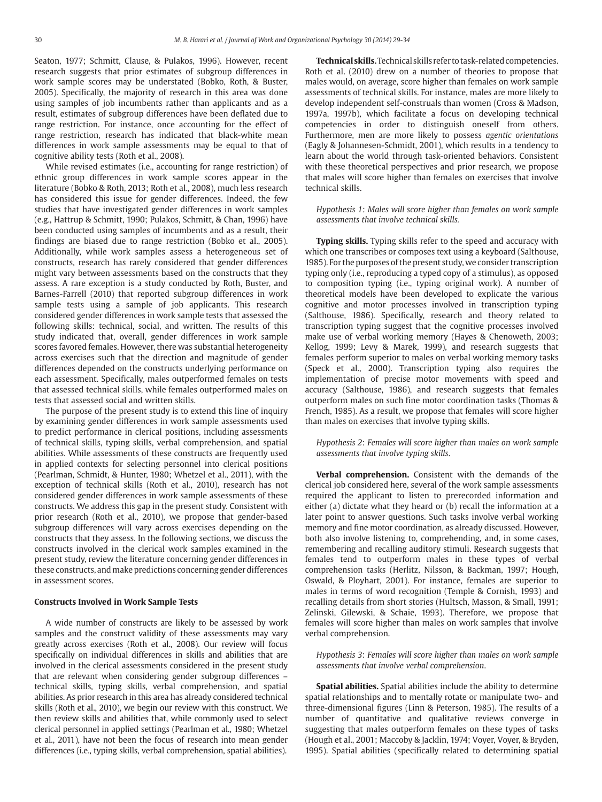Seaton, 1977; Schmitt, Clause, & Pulakos, 1996). However, recent research suggests that prior estimates of subgroup differences in work sample scores may be understated (Bobko, Roth, & Buster, 2005). Specifically, the majority of research in this area was done using samples of job incumbents rather than applicants and as a result, estimates of subgroup differences have been deflated due to range restriction. For instance, once accounting for the effect of range restriction, research has indicated that black-white mean differences in work sample assessments may be equal to that of cognitive ability tests (Roth et al., 2008).

While revised estimates (i.e., accounting for range restriction) of ethnic group differences in work sample scores appear in the literature (Bobko & Roth, 2013; Roth et al., 2008), much less research has considered this issue for gender differences. Indeed, the few studies that have investigated gender differences in work samples (e.g., Hattrup & Schmitt, 1990; Pulakos, Schmitt, & Chan, 1996) have been conducted using samples of incumbents and as a result, their findings are biased due to range restriction (Bobko et al., 2005). Additionally, while work samples assess a heterogeneous set of constructs, research has rarely considered that gender differences might vary between assessments based on the constructs that they assess. A rare exception is a study conducted by Roth, Buster, and Barnes-Farrell (2010) that reported subgroup differences in work sample tests using a sample of job applicants. This research considered gender differences in work sample tests that assessed the following skills: technical, social, and written. The results of this study indicated that, overall, gender differences in work sample scores favored females. However, there was substantial heterogeneity across exercises such that the direction and magnitude of gender differences depended on the constructs underlying performance on each assessment. Specifically, males outperformed females on tests that assessed technical skills, while females outperformed males on tests that assessed social and written skills.

The purpose of the present study is to extend this line of inquiry by examining gender differences in work sample assessments used to predict performance in clerical positions, including assessments of technical skills, typing skills, verbal comprehension, and spatial abilities. While assessments of these constructs are frequently used in applied contexts for selecting personnel into clerical positions (Pearlman, Schmidt, & Hunter, 1980; Whetzel et al., 2011), with the exception of technical skills (Roth et al., 2010), research has not considered gender differences in work sample assessments of these constructs. We address this gap in the present study. Consistent with prior research (Roth et al., 2010), we propose that gender-based subgroup differences will vary across exercises depending on the constructs that they assess. In the following sections, we discuss the constructs involved in the clerical work samples examined in the present study, review the literature concerning gender differences in these constructs, and make predictions concerning gender differences in assessment scores.

#### **Constructs Involved in Work Sample Tests**

A wide number of constructs are likely to be assessed by work samples and the construct validity of these assessments may vary greatly across exercises (Roth et al., 2008). Our review will focus specifically on individual differences in skills and abilities that are involved in the clerical assessments considered in the present study that are relevant when considering gender subgroup differences – technical skills, typing skills, verbal comprehension, and spatial abilities. As prior research in this area has already considered technical skills (Roth et al., 2010), we begin our review with this construct. We then review skills and abilities that, while commonly used to select clerical personnel in applied settings (Pearlman et al., 1980; Whetzel et al., 2011), have not been the focus of research into mean gender differences (i.e., typing skills, verbal comprehension, spatial abilities).

**Technical skills.**Technical skills refer to task-related competencies. Roth et al. (2010) drew on a number of theories to propose that males would, on average, score higher than females on work sample assessments of technical skills. For instance, males are more likely to develop independent self-construals than women (Cross & Madson, 1997a, 1997b), which facilitate a focus on developing technical competencies in order to distinguish oneself from others. Furthermore, men are more likely to possess *agentic orientations*  (Eagly & Johannesen-Schmidt, 2001), which results in a tendency to learn about the world through task-oriented behaviors. Consistent with these theoretical perspectives and prior research, we propose that males will score higher than females on exercises that involve technical skills.

*Hypothesis 1*: *Males will score higher than females on work sample assessments that involve technical skills.*

**Typing skills.** Typing skills refer to the speed and accuracy with which one transcribes or composes text using a keyboard (Salthouse, 1985). For the purposes of the present study, we consider transcription typing only (i.e., reproducing a typed copy of a stimulus), as opposed to composition typing (i.e., typing original work). A number of theoretical models have been developed to explicate the various cognitive and motor processes involved in transcription typing (Salthouse, 1986). Specifically, research and theory related to transcription typing suggest that the cognitive processes involved make use of verbal working memory (Hayes & Chenoweth, 2003; Kellog, 1999; Levy & Marek, 1999), and research suggests that females perform superior to males on verbal working memory tasks (Speck et al., 2000). Transcription typing also requires the implementation of precise motor movements with speed and accuracy (Salthouse, 1986), and research suggests that females outperform males on such fine motor coordination tasks (Thomas & French, 1985). As a result, we propose that females will score higher than males on exercises that involve typing skills.

*Hypothesis 2*: *Females will score higher than males on work sample assessments that involve typing skills*.

**Verbal comprehension.** Consistent with the demands of the clerical job considered here, several of the work sample assessments required the applicant to listen to prerecorded information and either (a) dictate what they heard or (b) recall the information at a later point to answer questions. Such tasks involve verbal working memory and fine motor coordination, as already discussed. However, both also involve listening to, comprehending, and, in some cases, remembering and recalling auditory stimuli. Research suggests that females tend to outperform males in these types of verbal comprehension tasks (Herlitz, Nilsson, & Backman, 1997; Hough, Oswald, & Ployhart, 2001). For instance, females are superior to males in terms of word recognition (Temple & Cornish, 1993) and recalling details from short stories (Hultsch, Masson, & Small, 1991; Zelinski, Gilewski, & Schaie, 1993). Therefore, we propose that females will score higher than males on work samples that involve verbal comprehension.

*Hypothesis 3*: *Females will score higher than males on work sample assessments that involve verbal comprehension*.

**Spatial abilities.** Spatial abilities include the ability to determine spatial relationships and to mentally rotate or manipulate two- and three-dimensional figures (Linn & Peterson, 1985). The results of a number of quantitative and qualitative reviews converge in suggesting that males outperform females on these types of tasks (Hough et al., 2001; Maccoby & Jacklin, 1974; Voyer, Voyer, & Bryden, 1995). Spatial abilities (specifically related to determining spatial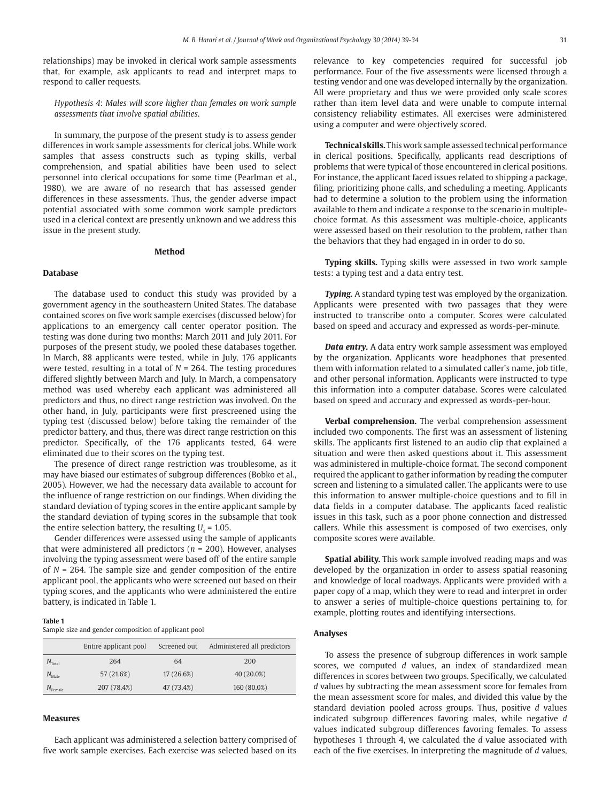relationships) may be invoked in clerical work sample assessments that, for example, ask applicants to read and interpret maps to respond to caller requests.

*Hypothesis 4*: *Males will score higher than females on work sample assessments that involve spatial abilities*.

In summary, the purpose of the present study is to assess gender differences in work sample assessments for clerical jobs. While work samples that assess constructs such as typing skills, verbal comprehension, and spatial abilities have been used to select personnel into clerical occupations for some time (Pearlman et al., 1980), we are aware of no research that has assessed gender differences in these assessments. Thus, the gender adverse impact potential associated with some common work sample predictors used in a clerical context are presently unknown and we address this issue in the present study.

# **Method**

# **Database**

The database used to conduct this study was provided by a government agency in the southeastern United States. The database contained scores on five work sample exercises (discussed below) for applications to an emergency call center operator position. The testing was done during two months: March 2011 and July 2011. For purposes of the present study, we pooled these databases together. In March, 88 applicants were tested, while in July, 176 applicants were tested, resulting in a total of *N* = 264. The testing procedures differed slightly between March and July. In March, a compensatory method was used whereby each applicant was administered all predictors and thus, no direct range restriction was involved. On the other hand, in July, participants were first prescreened using the typing test (discussed below) before taking the remainder of the predictor battery, and thus, there was direct range restriction on this predictor. Specifically, of the 176 applicants tested, 64 were eliminated due to their scores on the typing test.

The presence of direct range restriction was troublesome, as it may have biased our estimates of subgroup differences (Bobko et al., 2005). However, we had the necessary data available to account for the influence of range restriction on our findings. When dividing the standard deviation of typing scores in the entire applicant sample by the standard deviation of typing scores in the subsample that took the entire selection battery, the resulting  $U_x$  = 1.05.

Gender differences were assessed using the sample of applicants that were administered all predictors (*n* = 200). However, analyses involving the typing assessment were based off of the entire sample of *N* = 264. The sample size and gender composition of the entire applicant pool, the applicants who were screened out based on their typing scores, and the applicants who were administered the entire battery, is indicated in Table 1.

#### **Table 1**

Sample size and gender composition of applicant pool

|                       | Entire applicant pool | Screened out | Administered all predictors |  |  |  |
|-----------------------|-----------------------|--------------|-----------------------------|--|--|--|
| $N_{\text{Total}}$    | 264                   | 64           | 200<br>40 (20.0%)           |  |  |  |
| $N_{\rm Male}$        | 57 (21.6%)            | 17 (26.6%)   |                             |  |  |  |
| I <sup>v</sup> Female | 207 (78.4%)           | 47 (73.4%)   | 160 (80.0%)                 |  |  |  |

#### **Measures**

Each applicant was administered a selection battery comprised of five work sample exercises. Each exercise was selected based on its relevance to key competencies required for successful job performance. Four of the five assessments were licensed through a testing vendor and one was developed internally by the organization. All were proprietary and thus we were provided only scale scores rather than item level data and were unable to compute internal consistency reliability estimates. All exercises were administered using a computer and were objectively scored.

**Technical skills.** This work sample assessed technical performance in clerical positions. Specifically, applicants read descriptions of problems that were typical of those encountered in clerical positions. For instance, the applicant faced issues related to shipping a package, filing, prioritizing phone calls, and scheduling a meeting. Applicants had to determine a solution to the problem using the information available to them and indicate a response to the scenario in multiplechoice format. As this assessment was multiple-choice, applicants were assessed based on their resolution to the problem, rather than the behaviors that they had engaged in in order to do so.

**Typing skills.** Typing skills were assessed in two work sample tests: a typing test and a data entry test.

*Typing.* A standard typing test was employed by the organization. Applicants were presented with two passages that they were instructed to transcribe onto a computer. Scores were calculated based on speed and accuracy and expressed as words-per-minute.

*Data entry.* A data entry work sample assessment was employed by the organization. Applicants wore headphones that presented them with information related to a simulated caller's name, job title, and other personal information. Applicants were instructed to type this information into a computer database. Scores were calculated based on speed and accuracy and expressed as words-per-hour.

**Verbal comprehension.** The verbal comprehension assessment included two components. The first was an assessment of listening skills. The applicants first listened to an audio clip that explained a situation and were then asked questions about it. This assessment was administered in multiple-choice format. The second component required the applicant to gather information by reading the computer screen and listening to a simulated caller. The applicants were to use this information to answer multiple-choice questions and to fill in data fields in a computer database. The applicants faced realistic issues in this task, such as a poor phone connection and distressed callers. While this assessment is composed of two exercises, only composite scores were available.

**Spatial ability.** This work sample involved reading maps and was developed by the organization in order to assess spatial reasoning and knowledge of local roadways. Applicants were provided with a paper copy of a map, which they were to read and interpret in order to answer a series of multiple-choice questions pertaining to, for example, plotting routes and identifying intersections.

# **Analyses**

To assess the presence of subgroup differences in work sample scores, we computed *d* values, an index of standardized mean differences in scores between two groups. Specifically, we calculated *d* values by subtracting the mean assessment score for females from the mean assessment score for males, and divided this value by the standard deviation pooled across groups. Thus, positive *d* values indicated subgroup differences favoring males, while negative *d*  values indicated subgroup differences favoring females. To assess hypotheses 1 through 4, we calculated the *d* value associated with each of the five exercises. In interpreting the magnitude of *d* values,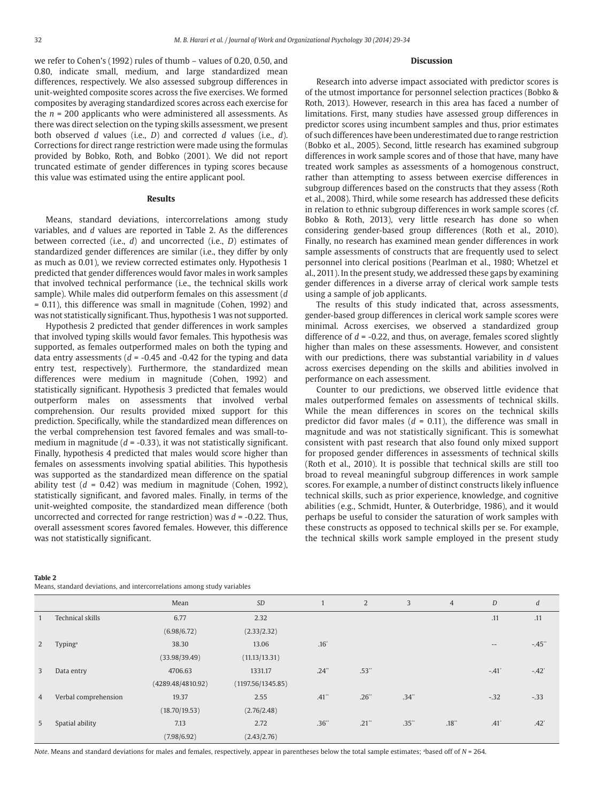we refer to Cohen's (1992) rules of thumb – values of 0.20, 0.50, and 0.80, indicate small, medium, and large standardized mean differences, respectively. We also assessed subgroup differences in unit-weighted composite scores across the five exercises. We formed composites by averaging standardized scores across each exercise for the  $n = 200$  applicants who were administered all assessments. As there was direct selection on the typing skills assessment, we present both observed *d* values (i.e., *D*) and corrected *d* values (i.e., *d*). Corrections for direct range restriction were made using the formulas provided by Bobko, Roth, and Bobko (2001). We did not report truncated estimate of gender differences in typing scores because this value was estimated using the entire applicant pool.

# **Results**

Means, standard deviations, intercorrelations among study variables, and *d* values are reported in Table 2. As the differences between corrected (i.e., *d*) and uncorrected (i.e., *D*) estimates of standardized gender differences are similar (i.e., they differ by only as much as 0.01), we review corrected estimates only. Hypothesis 1 predicted that gender differences would favor males in work samples that involved technical performance (i.e., the technical skills work sample). While males did outperform females on this assessment (*d*  = 0.11), this difference was small in magnitude (Cohen, 1992) and was not statistically significant. Thus, hypothesis 1 was not supported.

Hypothesis 2 predicted that gender differences in work samples that involved typing skills would favor females. This hypothesis was supported, as females outperformed males on both the typing and data entry assessments  $(d = -0.45$  and  $-0.42$  for the typing and data entry test, respectively). Furthermore, the standardized mean differences were medium in magnitude (Cohen, 1992) and statistically significant. Hypothesis 3 predicted that females would outperform males on assessments that involved verbal comprehension. Our results provided mixed support for this prediction. Specifically, while the standardized mean differences on the verbal comprehension test favored females and was small-tomedium in magnitude (*d* = -0.33), it was not statistically significant. Finally, hypothesis 4 predicted that males would score higher than females on assessments involving spatial abilities. This hypothesis was supported as the standardized mean difference on the spatial ability test (*d* = 0.42) was medium in magnitude (Cohen, 1992), statistically significant, and favored males. Finally, in terms of the unit-weighted composite, the standardized mean difference (both uncorrected and corrected for range restriction) was *d* = -0.22. Thus, overall assessment scores favored females. However, this difference was not statistically significant.

# **Discussion**

Research into adverse impact associated with predictor scores is of the utmost importance for personnel selection practices (Bobko & Roth, 2013). However, research in this area has faced a number of limitations. First, many studies have assessed group differences in predictor scores using incumbent samples and thus, prior estimates of such differences have been underestimated due to range restriction (Bobko et al., 2005). Second, little research has examined subgroup differences in work sample scores and of those that have, many have treated work samples as assessments of a homogenous construct, rather than attempting to assess between exercise differences in subgroup differences based on the constructs that they assess (Roth et al., 2008). Third, while some research has addressed these deficits in relation to ethnic subgroup differences in work sample scores (cf. Bobko & Roth, 2013), very little research has done so when considering gender-based group differences (Roth et al., 2010). Finally, no research has examined mean gender differences in work sample assessments of constructs that are frequently used to select personnel into clerical positions (Pearlman et al., 1980; Whetzel et al., 2011). In the present study, we addressed these gaps by examining gender differences in a diverse array of clerical work sample tests using a sample of job applicants.

The results of this study indicated that, across assessments, gender-based group differences in clerical work sample scores were minimal. Across exercises, we observed a standardized group difference of *d* = -0.22, and thus, on average, females scored slightly higher than males on these assessments. However, and consistent with our predictions, there was substantial variability in *d* values across exercises depending on the skills and abilities involved in performance on each assessment.

Counter to our predictions, we observed little evidence that males outperformed females on assessments of technical skills. While the mean differences in scores on the technical skills predictor did favor males  $(d = 0.11)$ , the difference was small in magnitude and was not statistically significant. This is somewhat consistent with past research that also found only mixed support for proposed gender differences in assessments of technical skills (Roth et al., 2010). It is possible that technical skills are still too broad to reveal meaningful subgroup differences in work sample scores. For example, a number of distinct constructs likely influence technical skills, such as prior experience, knowledge, and cognitive abilities (e.g., Schmidt, Hunter, & Outerbridge, 1986), and it would perhaps be useful to consider the saturation of work samples with these constructs as opposed to technical skills per se. For example, the technical skills work sample employed in the present study

|                |                      | Mean              | <b>SD</b>         | 1                   | 2          | 3          | $\overline{4}$ | D                   | d             |
|----------------|----------------------|-------------------|-------------------|---------------------|------------|------------|----------------|---------------------|---------------|
| $\mathbf{1}$   | Technical skills     | 6.77              | 2.32              |                     |            |            |                | .11                 | .11           |
|                |                      | (6.98/6.72)       | (2.33/2.32)       |                     |            |            |                |                     |               |
| 2              | Typing <sup>a</sup>  | 38.30             | 13.06             | $.16*$              |            |            |                | $\qquad \qquad -$   | $-.45"$       |
|                |                      | (33.98/39.49)     | (11.13/13.31)     |                     |            |            |                |                     |               |
| 3              | Data entry           | 4706.63           | 1331.17           | $.24$ <sup>**</sup> | $.53^{**}$ |            |                | $-.41$ <sup>*</sup> | $-.42"$       |
|                |                      | (4289.48/4810.92) | (1197.56/1345.85) |                     |            |            |                |                     |               |
| $\overline{4}$ | Verbal comprehension | 19.37             | 2.55              | $.41$ <sup>**</sup> | $.26^{**}$ | $.34^{**}$ |                | $-.32$              | $-0.33$       |
|                |                      | (18.70/19.53)     | (2.76/2.48)       |                     |            |            |                |                     |               |
| 5              | Spatial ability      | 7.13              | 2.72              | $.36^{**}$          | .21"       | $.35**$    | .18            | $.41^{\circ}$       | $.42^{\circ}$ |
|                |                      | (7.98/6.92)       | (2.43/2.76)       |                     |            |            |                |                     |               |

**Table 2** Means, standard deviations, and intercorrelations among study variables

*Note*. Means and standard deviations for males and females, respectively, appear in parentheses below the total sample estimates; <sup>a</sup> based off of *N* = 264.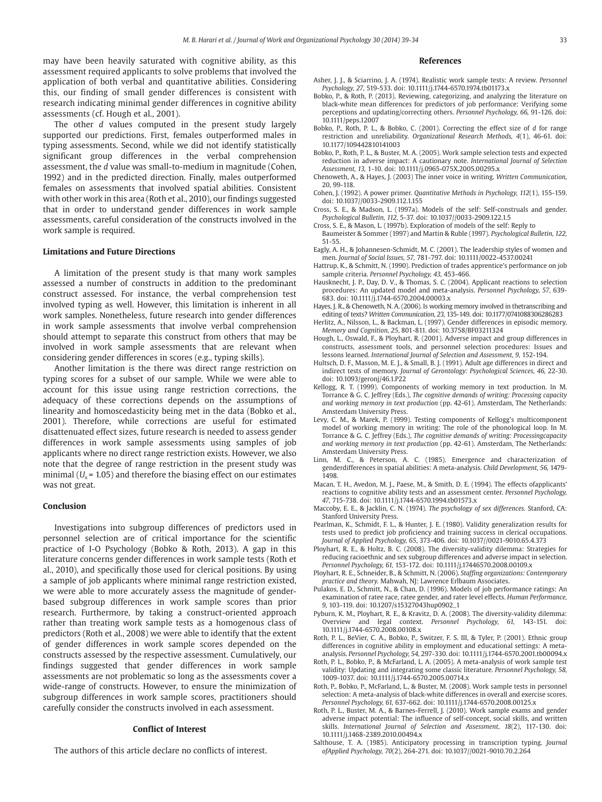may have been heavily saturated with cognitive ability, as this assessment required applicants to solve problems that involved the application of both verbal and quantitative abilities. Considering this, our finding of small gender differences is consistent with research indicating minimal gender differences in cognitive ability assessments (cf. Hough et al., 2001).

The other *d* values computed in the present study largely supported our predictions. First, females outperformed males in typing assessments. Second, while we did not identify statistically significant group differences in the verbal comprehension assessment, the *d* value was small-to-medium in magnitude (Cohen, 1992) and in the predicted direction. Finally, males outperformed females on assessments that involved spatial abilities. Consistent with other work in this area (Roth et al., 2010), our findings suggested that in order to understand gender differences in work sample assessments, careful consideration of the constructs involved in the work sample is required.

#### **Limitations and Future Directions**

A limitation of the present study is that many work samples assessed a number of constructs in addition to the predominant construct assessed. For instance, the verbal comprehension test involved typing as well. However, this limitation is inherent in all work samples. Nonetheless, future research into gender differences in work sample assessments that involve verbal comprehension should attempt to separate this construct from others that may be involved in work sample assessments that are relevant when considering gender differences in scores (e.g., typing skills).

Another limitation is the there was direct range restriction on typing scores for a subset of our sample. While we were able to account for this issue using range restriction corrections, the adequacy of these corrections depends on the assumptions of linearity and homoscedasticity being met in the data (Bobko et al., 2001). Therefore, while corrections are useful for estimated disattenuated effect sizes, future research is needed to assess gender differences in work sample assessments using samples of job applicants where no direct range restriction exists. However, we also note that the degree of range restriction in the present study was minimal  $(U<sub>x</sub> = 1.05)$  and therefore the biasing effect on our estimates was not great.

#### **Conclusion**

Investigations into subgroup differences of predictors used in personnel selection are of critical importance for the scientific practice of I-O Psychology (Bobko & Roth, 2013). A gap in this literature concerns gender differences in work sample tests (Roth et al., 2010), and specifically those used for clerical positions. By using a sample of job applicants where minimal range restriction existed, we were able to more accurately assess the magnitude of genderbased subgroup differences in work sample scores than prior research. Furthermore, by taking a construct-oriented approach rather than treating work sample tests as a homogenous class of predictors (Roth et al., 2008) we were able to identify that the extent of gender differences in work sample scores depended on the constructs assessed by the respective assessment. Cumulatively, our findings suggested that gender differences in work sample assessments are not problematic so long as the assessments cover a wide-range of constructs. However, to ensure the minimization of subgroup differences in work sample scores, practitioners should carefully consider the constructs involved in each assessment.

#### **Conflict of Interest**

The authors of this article declare no conflicts of interest.

#### **References**

- Asher, J. J., & Sciarrino, J. A. (1974). Realistic work sample tests: A review. *Personnel Psychology, 27,* 519-533. doi: 10.1111/j.1744-6570.1974.tb01173.x
- Bobko, P., & Roth, P. (2013). Reviewing, categorizing, and analyzing the literature on black-white mean differences for predictors of job performance: Verifying some perceptions and updating/correcting others. *Personnel Psychology, 66,* 91-126. doi: 10.1111/peps.12007
- Bobko, P., Roth, P. L., & Bobko, C. (2001). Correcting the effect size of *d* for range restriction and unreliability. *Organizational Research Methods, 4*(1), 46-61. doi: 10.1177/109442810141003
- Bobko, P., Roth, P. L., & Buster, M. A. (2005). Work sample selection tests and expected reduction in adverse impact: A cautionary note. *International Journal of Selection Assessment, 13,* 1-10. doi: 10.1111/j.0965-075X.2005.00295.x
- Chenoweth, A., & Hayes, J. (2003) The inner voice in writing. *Written Communication,*  20, 99-118.
- Cohen, J. (1992). A power primer. *Quantitative Methods in Psychology, 112*(1), 155-159. doi: 10.1037//0033-2909.112.1.155
- Cross, S. E., & Madson, L. (1997a). Models of the self: Self-construals and gender. *Psychological Bulletin, 112,* 5-37. doi: 10.1037//0033-2909.122.1.5
- Cross, S. E., & Mason, L. (1997b). Exploration of models of the self: Reply to Baumeister & Sommer (1997) and Martin & Ruble (1997). *Psychological Bulletin, 122,*
- 51-55. Eagly, A. H., & Johannesen-Schmidt, M. C. (2001). The leadership styles of women and
- men. *Journal of Social Issues, 57,* 781-797. doi: 10.1111/0022-4537.00241 Hattrup, K., & Schmitt, N. (1990). Prediction of trades apprentice's performance on job
- sample criteria. *Personnel Psychology, 43,* 453-466.
- Hausknecht, J. P., Day, D. V., & Thomas, S. C. (2004). Applicant reactions to selection procedures: An updated model and meta-analysis. *Personnel Psychology, 57,* 639- 683. doi: 10.1111/j.1744-6570.2004.00003.x
- Hayes, J. R., & Chenoweth, N. A. (2006). Is working memory involved in thetranscribing and editing of texts? *Written Communication, 23,* 135-149. doi: 10.1177/0741088306286283
- Herlitz, A., Nilsson, L., & Backman, L. (1997). Gender differences in episodic memory. *Memory and Cognition, 25*, 801-811. doi: 10.3758/BF03211324
- Hough, L., Oswald, F., & Ployhart, R. (2001). Adverse impact and group differences in constructs, assessment tools, and personnel selection procedures: Issues and lessons learned. *International Journal of Selection and Assessment*, 9, 152-194.
- Hultsch, D. F., Masson, M. E. J., & Small, B. J. (1991). Adult age differences in direct and indirect tests of memory. *Journal of Gerontology: Psychological Sciences, 46,* 22-30. doi: 10.1093/geronj/46.1.P22
- Kellogg, R. T. (1999). Components of working memory in text production. In M. Torrance & G. C. Jeffrey (Eds.), *The cognitive demands of writing: Processing capacity and working memory in text production* (pp. 42-61). Amsterdam, The Netherlands: Amsterdam University Press.
- Levy, C. M., & Marek, P. (1999). Testing components of Kellogg's multicomponent model of working memory in writing: The role of the phonological loop. In M. Torrance & G. C. Jeffrey (Eds.), *The cognitive demands of writing: Processingcapacity and working memory in text production* (pp. 42-61). Amsterdam, The Netherlands: Amsterdam University Press.
- Linn, M. C., & Peterson, A. C. (1985). Emergence and characterization of genderdifferences in spatial abilities: A meta-analysis. *Child Development, 56,* 1479- 1498.
- Macan, T. H., Avedon, M. J., Paese, M., & Smith, D. E. (1994). The effects ofapplicants' reactions to cognitive ability tests and an assessment center. *Personnel Psychology, 47,* 715-738. doi: 10.1111/j.1744-6570.1994.tb01573.x
- Maccoby, E. E., & Jacklin, C. N. (1974). *The psychology of sex differences.* Stanford, CA: Stanford University Press.
- Pearlman, K., Schmidt, F. L., & Hunter, J. E. (1980). Validity generalization results for tests used to predict job proficiency and training success in clerical occupations. *Journal of Applied Psychology, 65*, 373-406. doi: 10.1037//0021-9010.65.4.373
- Ployhart, R. E., & Holtz, B. C. (2008). The diversity-validity dilemma: Strategies for reducing racioethnic and sex subgroup differences and adverse impact in selection. *Personnel Psychology, 61,* 153-172. doi: 10.1111/j.17446570.2008.00109.x
- Ployhart, R. E., Schneider, B., & Schmitt, N. (2006). *Staffing organizations: Contemporary practice and theory.* Mahwah, NJ: Lawrence Erlbaum Associates.
- Pulakos, E. D., Schmitt, N., & Chan, D. (1996). Models of job performance ratings: An examination of ratee race, ratee gender, and rater level effects. *Human Performance, 9,* 103-119. doi: 10.1207/s15327043hup0902\_1
- Pyburn, K. M., Ployhart, R. E., & Kravitz, D. A. (2008). The diversity-validity dilemma: Overview and legal context. *Personnel Psychology, 61,* 143-151. doi: 10.1111/j.1744-6570.2008.00108.x
- Roth, P. L., BeVier, C. A., Bobko, P., Switzer, F. S. III, & Tyler, P. (2001). Ethnic group differences in cognitive ability in employment and educational settings: A metaanalysis. *Personnel Psychology, 54,* 297-330. doi: 10.1111/j.1744-6570.2001.tb00094.x
- Roth, P. L., Bobko, P., & McFarland, L. A. (2005). A meta-analysis of work sample test validity: Updating and integrating some classic literature. *Personnel Psychology, 58,*  1009-1037. doi: 10.1111/j.1744-6570.2005.00714.x
- Roth, P., Bobko, P., McFarland, L., & Buster, M. (2008). Work sample tests in personnel selection: A meta-analysis of black-white differences in overall and exercise scores. *Personnel Psychology, 61,* 637-662. doi: 10.1111/j.1744-6570.2008.00125.x
- Roth, P. L., Buster, M. A., & Barnes-Ferrell, J. (2010). Work sample exams and gender adverse impact potential: The influence of self-concept, social skills, and written skills. *International Journal of Selection and Assessment, 18*(2), 117-130. doi: 10.1111/j.1468-2389.2010.00494.x
- Salthouse, T. A. (1985). Anticipatory processing in transcription typing. *Journal ofApplied Psychology, 70*(2), 264-271. doi: 10.1037//0021-9010.70.2.264